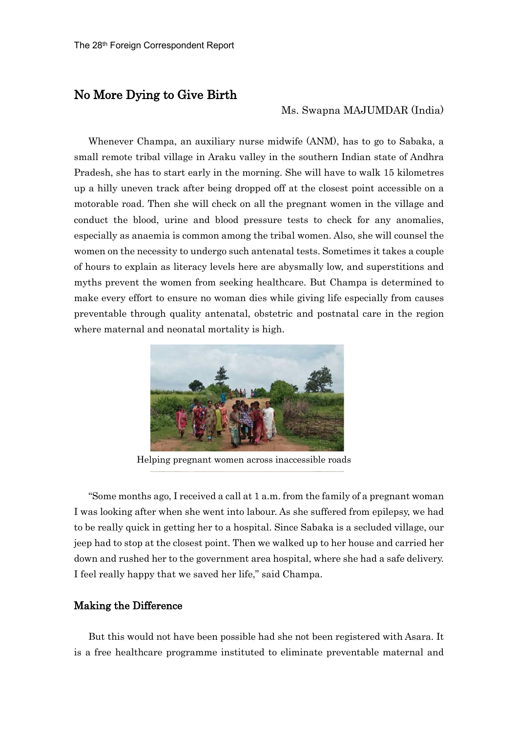## No More Dying to Give Birth

## Ms. Swapna MAJUMDAR (India)

Whenever Champa, an auxiliary nurse midwife (ANM), has to go to Sabaka, a small remote tribal village in Araku valley in the southern Indian state of Andhra Pradesh, she has to start early in the morning. She will have to walk 15 kilometres up a hilly uneven track after being dropped off at the closest point accessible on a motorable road. Then she will check on all the pregnant women in the village and conduct the blood, urine and blood pressure tests to check for any anomalies, especially as anaemia is common among the tribal women. Also, she will counsel the women on the necessity to undergo such antenatal tests. Sometimes it takes a couple of hours to explain as literacy levels here are abysmally low, and superstitions and myths prevent the women from seeking healthcare. But Champa is determined to make every effort to ensure no woman dies while giving life especially from causes preventable through quality antenatal, obstetric and postnatal care in the region where maternal and neonatal mortality is high.



Helping pregnant women across inaccessible roads

"Some months ago, I received a call at 1 a.m. from the family of a pregnant woman I was looking after when she went into labour. As she suffered from epilepsy, we had to be really quick in getting her to a hospital. Since Sabaka is a secluded village, our jeep had to stop at the closest point. Then we walked up to her house and carried her down and rushed her to the government area hospital, where she had a safe delivery. I feel really happy that we saved her life," said Champa.

## Making the Difference

But this would not have been possible had she not been registered with Asara. It is a free healthcare programme instituted to eliminate preventable maternal and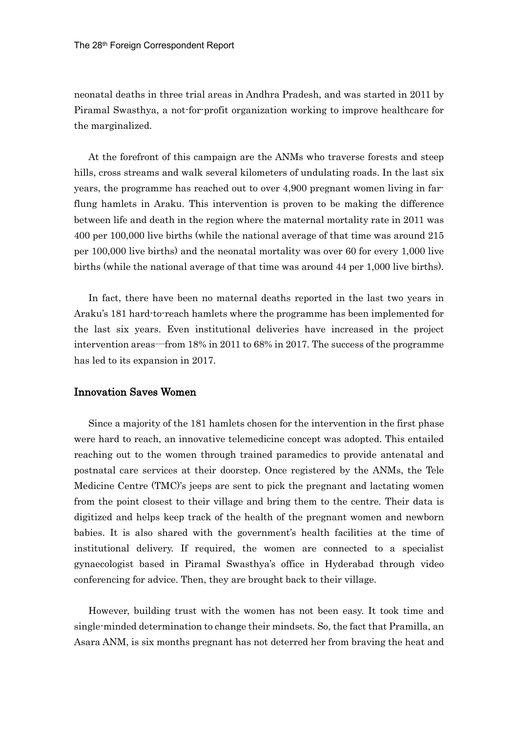neonatal deaths in three trial areas in Andhra Pradesh, and was started in 2011 by Piramal Swasthya, a not-for-profit organization working to improve healthcare for the marginalized.

At the forefront of this campaign are the ANMs who traverse forests and steep hills, cross streams and walk several kilometers of undulating roads. In the last six years, the programme has reached out to over 4,900 pregnant women living in farflung hamlets in Araku. This intervention is proven to be making the difference between life and death in the region where the maternal mortality rate in 2011 was 400 per 100,000 live births (while the national average of that time was around 215 per 100,000 live births) and the neonatal mortality was over 60 for every 1,000 live births (while the national average of that time was around 44 per 1,000 live births).

In fact, there have been no maternal deaths reported in the last two years in Araku's 181 hard-to-reach hamlets where the programme has been implemented for the last six years. Even institutional deliveries have increased in the project intervention areas―from 18% in 2011 to 68% in 2017. The success of the programme has led to its expansion in 2017.

## Innovation Saves Women

Since a majority of the 181 hamlets chosen for the intervention in the first phase were hard to reach, an innovative telemedicine concept was adopted. This entailed reaching out to the women through trained paramedics to provide antenatal and postnatal care services at their doorstep. Once registered by the ANMs, the Tele Medicine Centre (TMC)'s jeeps are sent to pick the pregnant and lactating women from the point closest to their village and bring them to the centre. Their data is digitized and helps keep track of the health of the pregnant women and newborn babies. It is also shared with the government's health facilities at the time of institutional delivery. If required, the women are connected to a specialist gynaecologist based in Piramal Swasthya's office in Hyderabad through video conferencing for advice. Then, they are brought back to their village.

However, building trust with the women has not been easy. It took time and single-minded determination to change their mindsets. So, the fact that Pramilla, an Asara ANM, is six months pregnant has not deterred her from braving the heat and